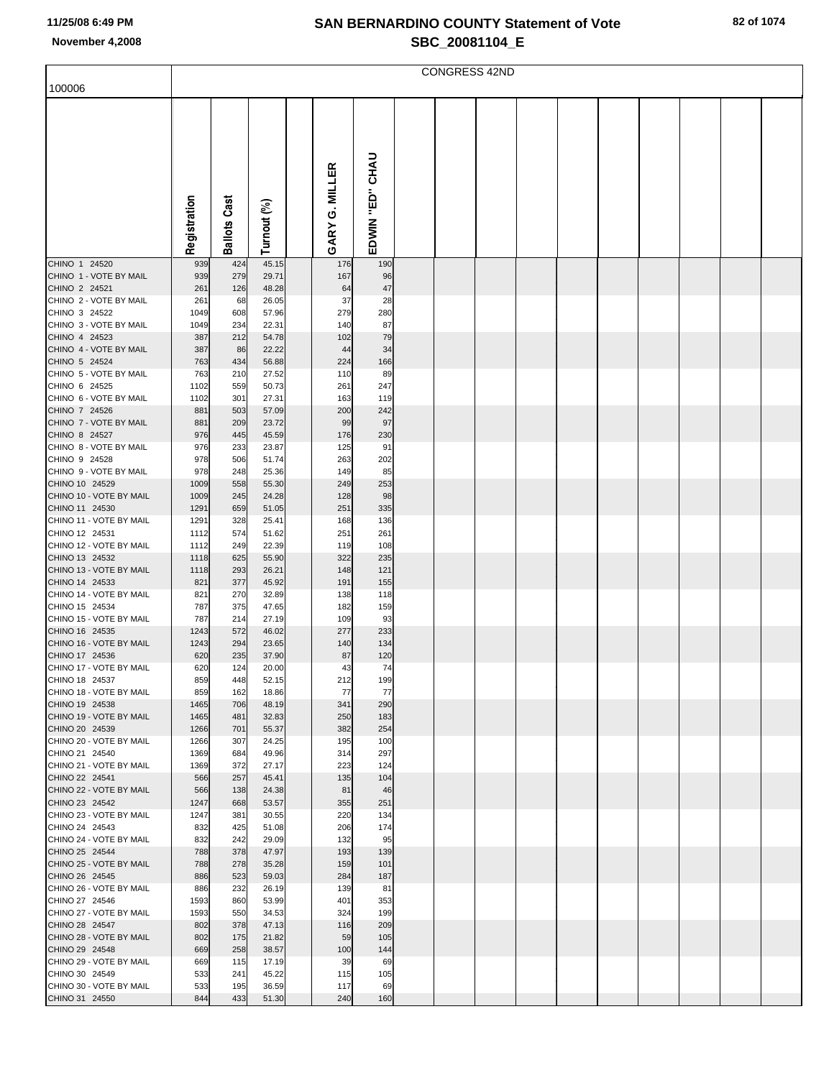|                                           | <b>CONGRESS 42ND</b> |            |                |  |               |             |  |  |  |  |  |  |  |  |  |  |
|-------------------------------------------|----------------------|------------|----------------|--|---------------|-------------|--|--|--|--|--|--|--|--|--|--|
| 100006                                    |                      |            |                |  |               |             |  |  |  |  |  |  |  |  |  |  |
|                                           |                      |            |                |  |               |             |  |  |  |  |  |  |  |  |  |  |
|                                           |                      |            |                |  |               |             |  |  |  |  |  |  |  |  |  |  |
|                                           |                      |            |                |  |               |             |  |  |  |  |  |  |  |  |  |  |
|                                           |                      |            |                |  |               |             |  |  |  |  |  |  |  |  |  |  |
|                                           |                      |            |                |  | <b>MILLER</b> | <b>CHAU</b> |  |  |  |  |  |  |  |  |  |  |
|                                           |                      |            |                |  |               |             |  |  |  |  |  |  |  |  |  |  |
|                                           |                      | Cast       |                |  | Ġ             | .<br>⊞      |  |  |  |  |  |  |  |  |  |  |
|                                           |                      |            |                |  |               |             |  |  |  |  |  |  |  |  |  |  |
|                                           | Registration         | Ballots    | Turnout (%)    |  | GARY          | EDWIN       |  |  |  |  |  |  |  |  |  |  |
| CHINO 1 24520                             | 939                  | 424        | 45.15          |  | 176           | 190         |  |  |  |  |  |  |  |  |  |  |
| CHINO 1 - VOTE BY MAIL                    | 939                  | 279        | 29.71          |  | 167           | 96          |  |  |  |  |  |  |  |  |  |  |
| CHINO 2 24521<br>CHINO 2 - VOTE BY MAIL   | 261<br>261           | 126<br>68  | 48.28<br>26.05 |  | 64<br>37      | 47<br>28    |  |  |  |  |  |  |  |  |  |  |
| CHINO 3 24522                             | 1049                 | 608        | 57.96          |  | 279           | 280         |  |  |  |  |  |  |  |  |  |  |
| CHINO 3 - VOTE BY MAIL                    | 1049                 | 234        | 22.31          |  | 140           | 87          |  |  |  |  |  |  |  |  |  |  |
| CHINO 4 24523<br>CHINO 4 - VOTE BY MAIL   | 387<br>387           | 212<br>86  | 54.78<br>22.22 |  | 102<br>44     | 79<br>34    |  |  |  |  |  |  |  |  |  |  |
| CHINO 5 24524                             | 763                  | 434        | 56.88          |  | 224           | 166         |  |  |  |  |  |  |  |  |  |  |
| CHINO 5 - VOTE BY MAIL<br>CHINO 6 24525   | 763<br>1102          | 210<br>559 | 27.52<br>50.73 |  | 110<br>261    | 89<br>247   |  |  |  |  |  |  |  |  |  |  |
| CHINO 6 - VOTE BY MAIL                    | 1102                 | 301        | 27.31          |  | 163           | 119         |  |  |  |  |  |  |  |  |  |  |
| CHINO 7 24526                             | 881                  | 503        | 57.09          |  | 200           | 242         |  |  |  |  |  |  |  |  |  |  |
| CHINO 7 - VOTE BY MAIL<br>CHINO 8 24527   | 881<br>976           | 209<br>445 | 23.72<br>45.59 |  | 99<br>176     | 97<br>230   |  |  |  |  |  |  |  |  |  |  |
| CHINO 8 - VOTE BY MAIL                    | 976                  | 233        | 23.87          |  | 125           | 91          |  |  |  |  |  |  |  |  |  |  |
| CHINO 9 24528<br>CHINO 9 - VOTE BY MAIL   | 978<br>978           | 506<br>248 | 51.74<br>25.36 |  | 263<br>149    | 202<br>85   |  |  |  |  |  |  |  |  |  |  |
| CHINO 10 24529                            | 1009                 | 558        | 55.30          |  | 249           | 253         |  |  |  |  |  |  |  |  |  |  |
| CHINO 10 - VOTE BY MAIL                   | 1009                 | 245        | 24.28          |  | 128           | 98          |  |  |  |  |  |  |  |  |  |  |
| CHINO 11 24530<br>CHINO 11 - VOTE BY MAIL | 1291<br>1291         | 659<br>328 | 51.05<br>25.41 |  | 251<br>168    | 335<br>136  |  |  |  |  |  |  |  |  |  |  |
| CHINO 12 24531                            | 1112                 | 574        | 51.62          |  | 251           | 261         |  |  |  |  |  |  |  |  |  |  |
| CHINO 12 - VOTE BY MAIL<br>CHINO 13 24532 | 1112<br>1118         | 249<br>625 | 22.39<br>55.90 |  | 119<br>322    | 108<br>235  |  |  |  |  |  |  |  |  |  |  |
| CHINO 13 - VOTE BY MAIL                   | 1118                 | 293        | 26.21          |  | 148           | 121         |  |  |  |  |  |  |  |  |  |  |
| CHINO 14 24533                            | 821                  | 377        | 45.92          |  | 191           | 155         |  |  |  |  |  |  |  |  |  |  |
| CHINO 14 - VOTE BY MAIL<br>CHINO 15 24534 | 821<br>787           | 270<br>375 | 32.89<br>47.65 |  | 138<br>182    | 118<br>159  |  |  |  |  |  |  |  |  |  |  |
| CHINO 15 - VOTE BY MAIL                   | 787                  | 214        | 27.19          |  | 109           | 93          |  |  |  |  |  |  |  |  |  |  |
| CHINO 16 24535<br>CHINO 16 - VOTE BY MAIL | 1243<br>1243         | 572<br>294 | 46.02<br>23.65 |  | 277<br>140    | 233<br>134  |  |  |  |  |  |  |  |  |  |  |
| CHINO 17 24536                            | 620                  | 235        | 37.90          |  | 87            | 120         |  |  |  |  |  |  |  |  |  |  |
| CHINO 17 - VOTE BY MAIL                   | 620                  | 124        | 20.00          |  | 43            | 74          |  |  |  |  |  |  |  |  |  |  |
| CHINO 18 24537<br>CHINO 18 - VOTE BY MAIL | 859<br>859           | 448<br>162 | 52.15<br>18.86 |  | 212<br>77     | 199<br>77   |  |  |  |  |  |  |  |  |  |  |
| CHINO 19 24538                            | 1465                 | 706        | 48.19          |  | 341           | 290         |  |  |  |  |  |  |  |  |  |  |
| CHINO 19 - VOTE BY MAIL<br>CHINO 20 24539 | 1465<br>1266         | 481<br>701 | 32.83<br>55.37 |  | 250<br>382    | 183<br>254  |  |  |  |  |  |  |  |  |  |  |
| CHINO 20 - VOTE BY MAIL                   | 1266                 | 307        | 24.25          |  | 195           | 100         |  |  |  |  |  |  |  |  |  |  |
| CHINO 21 24540<br>CHINO 21 - VOTE BY MAIL | 1369<br>1369         | 684<br>372 | 49.96<br>27.17 |  | 314<br>223    | 297<br>124  |  |  |  |  |  |  |  |  |  |  |
| CHINO 22 24541                            | 566                  | 257        | 45.41          |  | 135           | 104         |  |  |  |  |  |  |  |  |  |  |
| CHINO 22 - VOTE BY MAIL                   | 566                  | 138        | 24.38          |  | 81            | 46          |  |  |  |  |  |  |  |  |  |  |
| CHINO 23 24542<br>CHINO 23 - VOTE BY MAIL | 1247<br>1247         | 668<br>381 | 53.57<br>30.55 |  | 355<br>220    | 251<br>134  |  |  |  |  |  |  |  |  |  |  |
| CHINO 24 24543                            | 832                  | 425        | 51.08          |  | 206           | 174         |  |  |  |  |  |  |  |  |  |  |
| CHINO 24 - VOTE BY MAIL<br>CHINO 25 24544 | 832<br>788           | 242<br>378 | 29.09<br>47.97 |  | 132<br>193    | 95<br>139   |  |  |  |  |  |  |  |  |  |  |
| CHINO 25 - VOTE BY MAIL                   | 788                  | 278        | 35.28          |  | 159           | 101         |  |  |  |  |  |  |  |  |  |  |
| CHINO 26 24545                            | 886                  | 523        | 59.03          |  | 284           | 187         |  |  |  |  |  |  |  |  |  |  |
| CHINO 26 - VOTE BY MAIL<br>CHINO 27 24546 | 886<br>1593          | 232<br>860 | 26.19<br>53.99 |  | 139<br>401    | 81<br>353   |  |  |  |  |  |  |  |  |  |  |
| CHINO 27 - VOTE BY MAIL                   | 1593                 | 550        | 34.53          |  | 324           | 199         |  |  |  |  |  |  |  |  |  |  |
| CHINO 28 24547<br>CHINO 28 - VOTE BY MAIL | 802<br>802           | 378<br>175 | 47.13<br>21.82 |  | 116<br>59     | 209<br>105  |  |  |  |  |  |  |  |  |  |  |
| CHINO 29 24548                            | 669                  | 258        | 38.57          |  | 100           | 144         |  |  |  |  |  |  |  |  |  |  |
| CHINO 29 - VOTE BY MAIL                   | 669                  | 115        | 17.19          |  | 39            | 69          |  |  |  |  |  |  |  |  |  |  |
| CHINO 30 24549<br>CHINO 30 - VOTE BY MAIL | 533<br>533           | 241<br>195 | 45.22<br>36.59 |  | 115<br>117    | 105<br>69   |  |  |  |  |  |  |  |  |  |  |
| CHINO 31 24550                            | 844                  | 433        | 51.30          |  | 240           | 160         |  |  |  |  |  |  |  |  |  |  |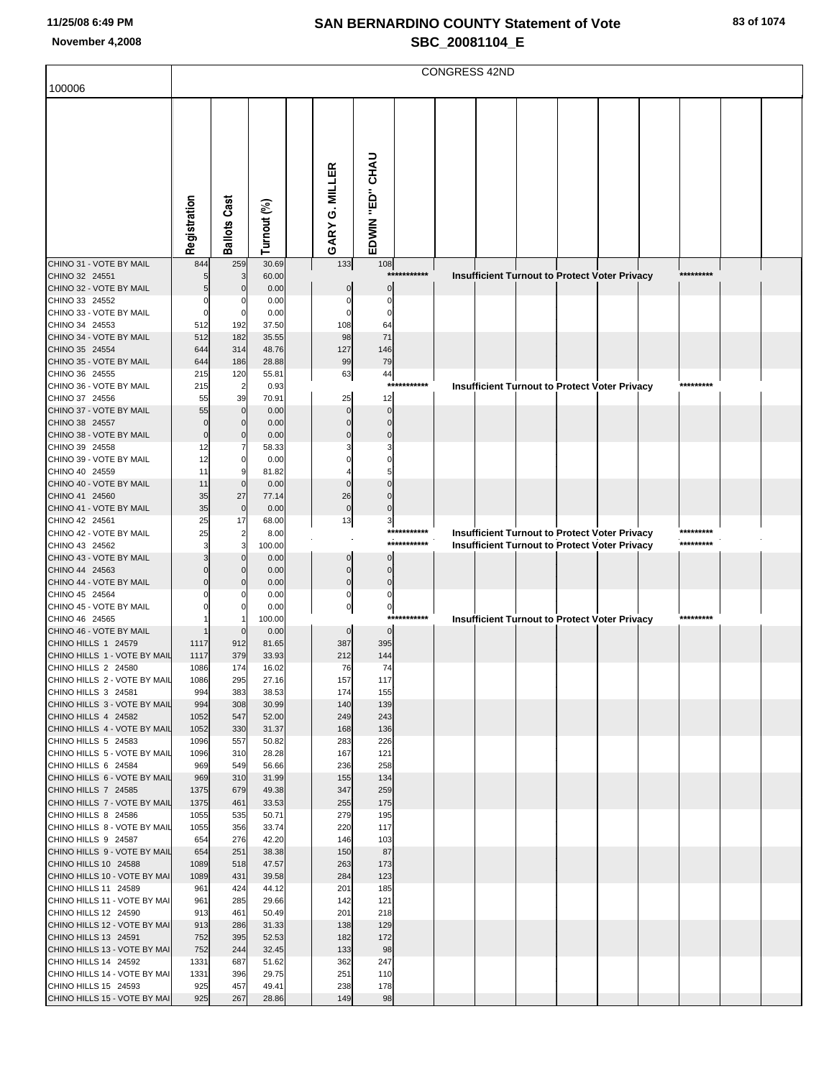|                                                      | <b>CONGRESS 42ND</b> |                         |                |                |                      |                           |          |  |  |  |  |                                                                                                              |  |           |  |  |
|------------------------------------------------------|----------------------|-------------------------|----------------|----------------|----------------------|---------------------------|----------|--|--|--|--|--------------------------------------------------------------------------------------------------------------|--|-----------|--|--|
| 100006                                               |                      |                         |                |                |                      |                           |          |  |  |  |  |                                                                                                              |  |           |  |  |
|                                                      |                      |                         |                |                |                      |                           |          |  |  |  |  |                                                                                                              |  |           |  |  |
|                                                      |                      |                         |                |                |                      |                           |          |  |  |  |  |                                                                                                              |  |           |  |  |
|                                                      |                      |                         |                |                |                      |                           |          |  |  |  |  |                                                                                                              |  |           |  |  |
|                                                      |                      |                         |                |                |                      |                           |          |  |  |  |  |                                                                                                              |  |           |  |  |
|                                                      |                      |                         |                | GARY G. MILLER |                      | EDWIN "ED" CHAU           |          |  |  |  |  |                                                                                                              |  |           |  |  |
|                                                      |                      |                         |                |                |                      |                           |          |  |  |  |  |                                                                                                              |  |           |  |  |
|                                                      |                      |                         |                |                |                      |                           |          |  |  |  |  |                                                                                                              |  |           |  |  |
|                                                      |                      |                         |                |                |                      |                           |          |  |  |  |  |                                                                                                              |  |           |  |  |
|                                                      | Registration         | <b>Ballots Cast</b>     | Turnout (%)    |                |                      |                           |          |  |  |  |  |                                                                                                              |  |           |  |  |
|                                                      |                      |                         |                |                |                      |                           |          |  |  |  |  |                                                                                                              |  |           |  |  |
| CHINO 31 - VOTE BY MAIL                              | 844                  | 259                     | 30.69          |                | 133                  | 108                       |          |  |  |  |  |                                                                                                              |  |           |  |  |
| CHINO 32 24551                                       |                      | 3<br>$\mathbf 0$        | 60.00          |                |                      | ***********<br>$\sqrt{ }$ |          |  |  |  |  | <b>Insufficient Turnout to Protect Voter Privacy</b>                                                         |  | ********* |  |  |
| CHINO 32 - VOTE BY MAIL<br>CHINO 33 24552            |                      | C                       | 0.00<br>0.00   |                |                      | C                         |          |  |  |  |  |                                                                                                              |  |           |  |  |
| CHINO 33 - VOTE BY MAIL                              | $\Omega$             | $\Omega$                | 0.00           |                |                      | $\sqrt{ }$                |          |  |  |  |  |                                                                                                              |  |           |  |  |
| CHINO 34 24553                                       | 512                  | 192                     | 37.50          |                | 108                  | 64                        |          |  |  |  |  |                                                                                                              |  |           |  |  |
| CHINO 34 - VOTE BY MAIL                              | 512                  | 182<br>314              | 35.55          |                | 98                   | 71                        |          |  |  |  |  |                                                                                                              |  |           |  |  |
| CHINO 35 24554<br>CHINO 35 - VOTE BY MAIL            | 644<br>644           | 186                     | 48.76<br>28.88 |                | 127<br>99            | 146<br>79                 |          |  |  |  |  |                                                                                                              |  |           |  |  |
| CHINO 36 24555                                       | 215                  | 120                     | 55.81          |                | 63                   | 44                        |          |  |  |  |  |                                                                                                              |  |           |  |  |
| CHINO 36 - VOTE BY MAIL                              | 215                  | $\overline{2}$          | 0.93           |                |                      | ***                       | ******** |  |  |  |  | <b>Insufficient Turnout to Protect Voter Privacy</b>                                                         |  | ********* |  |  |
| CHINO 37 24556                                       | 55                   | 39<br>$\mathbf 0$       | 70.91          |                | 25                   | 12<br>$\cap$              |          |  |  |  |  |                                                                                                              |  |           |  |  |
| CHINO 37 - VOTE BY MAIL<br>CHINO 38 24557            | 55<br>$\Omega$       | $\Omega$                | 0.00<br>0.00   |                | $\Omega$             | $\sqrt{ }$                |          |  |  |  |  |                                                                                                              |  |           |  |  |
| CHINO 38 - VOTE BY MAIL                              | $\mathbf 0$          | $\mathbf 0$             | 0.00           |                |                      |                           |          |  |  |  |  |                                                                                                              |  |           |  |  |
| CHINO 39 24558                                       | 12                   | 7                       | 58.33          |                |                      |                           |          |  |  |  |  |                                                                                                              |  |           |  |  |
| CHINO 39 - VOTE BY MAIL                              | 12                   | $\Omega$<br>$\mathbf c$ | 0.00           |                |                      |                           |          |  |  |  |  |                                                                                                              |  |           |  |  |
| CHINO 40 24559<br>CHINO 40 - VOTE BY MAIL            | 11<br>11             | $\Omega$                | 81.82<br>0.00  |                |                      |                           |          |  |  |  |  |                                                                                                              |  |           |  |  |
| CHINO 41 24560                                       | 35                   | 27                      | 77.14          |                | 26                   | $\sqrt{ }$                |          |  |  |  |  |                                                                                                              |  |           |  |  |
| CHINO 41 - VOTE BY MAIL                              | 35                   | $\mathbf{0}$            | 0.00           |                | $\mathbf 0$          | C                         |          |  |  |  |  |                                                                                                              |  |           |  |  |
| CHINO 42 24561                                       | 25                   | 17                      | 68.00          |                | 13                   | 3<br>***********          |          |  |  |  |  |                                                                                                              |  | ********* |  |  |
| CHINO 42 - VOTE BY MAIL<br>CHINO 43 24562            | 25                   | $\overline{2}$<br>3     | 8.00<br>100.00 |                |                      | ***********               |          |  |  |  |  | <b>Insufficient Turnout to Protect Voter Privacy</b><br><b>Insufficient Turnout to Protect Voter Privacy</b> |  | ********* |  |  |
| CHINO 43 - VOTE BY MAIL                              |                      | $\Omega$                | 0.00           |                |                      |                           |          |  |  |  |  |                                                                                                              |  |           |  |  |
| CHINO 44 24563                                       |                      | $\Omega$                | 0.00           |                | $\Omega$             | $\Omega$                  |          |  |  |  |  |                                                                                                              |  |           |  |  |
| CHINO 44 - VOTE BY MAIL                              |                      | $\mathsf{C}$<br>C       | 0.00           |                | $\Omega$<br>$\Omega$ | $\sqrt{ }$<br>$\Omega$    |          |  |  |  |  |                                                                                                              |  |           |  |  |
| CHINO 45 24564<br>CHINO 45 - VOTE BY MAIL            |                      |                         | 0.00<br>0.00   |                | $\Omega$             | $\mathbf 0$               |          |  |  |  |  |                                                                                                              |  |           |  |  |
| CHINO 46 24565                                       |                      |                         | 100.00         |                |                      | ***********               |          |  |  |  |  | <b>Insufficient Turnout to Protect Voter Privacy</b>                                                         |  | ********* |  |  |
| CHINO 46 - VOTE BY MAIL                              |                      | $\mathsf{C}$            | 0.00           |                |                      | $\Omega$                  |          |  |  |  |  |                                                                                                              |  |           |  |  |
| CHINO HILLS 1 24579                                  | 1117                 | 912                     | 81.65          |                | 387                  | 395                       |          |  |  |  |  |                                                                                                              |  |           |  |  |
| CHINO HILLS 1 - VOTE BY MAIL<br>CHINO HILLS 2 24580  | 1117<br>1086         | 379<br>174              | 33.93<br>16.02 |                | 212<br>76            | 144<br>74                 |          |  |  |  |  |                                                                                                              |  |           |  |  |
| CHINO HILLS 2 - VOTE BY MAIL                         | 1086                 | 295                     | 27.16          |                | 157                  | 117                       |          |  |  |  |  |                                                                                                              |  |           |  |  |
| CHINO HILLS 3 24581                                  | 994                  | 383                     | 38.53          |                | 174                  | 155                       |          |  |  |  |  |                                                                                                              |  |           |  |  |
| CHINO HILLS 3 - VOTE BY MAIL<br>CHINO HILLS 4 24582  | 994<br>1052          | 308<br>547              | 30.99<br>52.00 |                | 140<br>249           | 139<br>243                |          |  |  |  |  |                                                                                                              |  |           |  |  |
| CHINO HILLS 4 - VOTE BY MAIL                         | 1052                 | 330                     | 31.37          |                | 168                  | 136                       |          |  |  |  |  |                                                                                                              |  |           |  |  |
| CHINO HILLS 5 24583                                  | 1096                 | 557                     | 50.82          |                | 283                  | 226                       |          |  |  |  |  |                                                                                                              |  |           |  |  |
| CHINO HILLS 5 - VOTE BY MAIL                         | 1096                 | 310                     | 28.28          |                | 167                  | 121                       |          |  |  |  |  |                                                                                                              |  |           |  |  |
| CHINO HILLS 6 24584<br>CHINO HILLS 6 - VOTE BY MAIL  | 969<br>969           | 549<br>310              | 56.66<br>31.99 |                | 236<br>155           | 258<br>134                |          |  |  |  |  |                                                                                                              |  |           |  |  |
| CHINO HILLS 7 24585                                  | 1375                 | 679                     | 49.38          |                | 347                  | 259                       |          |  |  |  |  |                                                                                                              |  |           |  |  |
| CHINO HILLS 7 - VOTE BY MAIL                         | 1375                 | 461                     | 33.53          |                | 255                  | 175                       |          |  |  |  |  |                                                                                                              |  |           |  |  |
| CHINO HILLS 8 24586                                  | 1055                 | 535                     | 50.71          |                | 279                  | 195                       |          |  |  |  |  |                                                                                                              |  |           |  |  |
| CHINO HILLS 8 - VOTE BY MAIL<br>CHINO HILLS 9 24587  | 1055<br>654          | 356<br>276              | 33.74<br>42.20 |                | 220<br>146           | 117<br>103                |          |  |  |  |  |                                                                                                              |  |           |  |  |
| CHINO HILLS 9 - VOTE BY MAIL                         | 654                  | 251                     | 38.38          |                | 150                  | 87                        |          |  |  |  |  |                                                                                                              |  |           |  |  |
| CHINO HILLS 10 24588                                 | 1089                 | 518                     | 47.57          |                | 263                  | 173                       |          |  |  |  |  |                                                                                                              |  |           |  |  |
| CHINO HILLS 10 - VOTE BY MAI                         | 1089                 | 431                     | 39.58          |                | 284                  | 123                       |          |  |  |  |  |                                                                                                              |  |           |  |  |
| CHINO HILLS 11 24589<br>CHINO HILLS 11 - VOTE BY MAI | 961<br>961           | 424<br>285              | 44.12<br>29.66 |                | 201<br>142           | 185<br>121                |          |  |  |  |  |                                                                                                              |  |           |  |  |
| CHINO HILLS 12 24590                                 | 913                  | 461                     | 50.49          |                | 201                  | 218                       |          |  |  |  |  |                                                                                                              |  |           |  |  |
| CHINO HILLS 12 - VOTE BY MAI                         | 913                  | 286                     | 31.33          |                | 138                  | 129                       |          |  |  |  |  |                                                                                                              |  |           |  |  |
| CHINO HILLS 13 24591                                 | 752                  | 395                     | 52.53          |                | 182                  | 172                       |          |  |  |  |  |                                                                                                              |  |           |  |  |
| CHINO HILLS 13 - VOTE BY MAI<br>CHINO HILLS 14 24592 | 752<br>1331          | 244<br>687              | 32.45<br>51.62 |                | 133<br>362           | 98<br>247                 |          |  |  |  |  |                                                                                                              |  |           |  |  |
| CHINO HILLS 14 - VOTE BY MAI                         | 1331                 | 396                     | 29.75          |                | 251                  | 110                       |          |  |  |  |  |                                                                                                              |  |           |  |  |
| CHINO HILLS 15 24593                                 | 925                  | 457                     | 49.41          |                | 238                  | 178                       |          |  |  |  |  |                                                                                                              |  |           |  |  |
| CHINO HILLS 15 - VOTE BY MAI                         | 925                  | 267                     | 28.86          |                | 149                  | 98                        |          |  |  |  |  |                                                                                                              |  |           |  |  |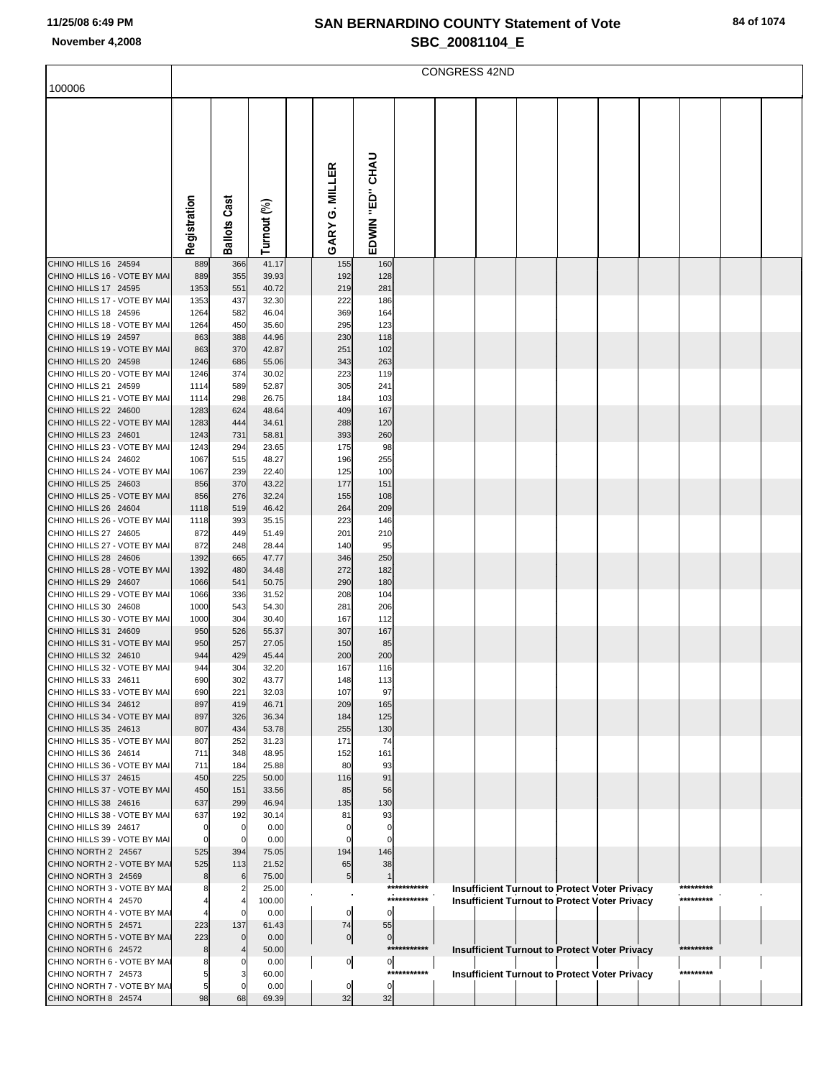|                                                      | <b>CONGRESS 42ND</b> |                       |                |  |                      |                   |             |  |  |  |  |                                                      |  |           |  |  |
|------------------------------------------------------|----------------------|-----------------------|----------------|--|----------------------|-------------------|-------------|--|--|--|--|------------------------------------------------------|--|-----------|--|--|
| 100006                                               |                      |                       |                |  |                      |                   |             |  |  |  |  |                                                      |  |           |  |  |
|                                                      |                      |                       |                |  |                      |                   |             |  |  |  |  |                                                      |  |           |  |  |
|                                                      |                      |                       |                |  |                      |                   |             |  |  |  |  |                                                      |  |           |  |  |
|                                                      |                      |                       |                |  |                      |                   |             |  |  |  |  |                                                      |  |           |  |  |
|                                                      |                      |                       |                |  |                      |                   |             |  |  |  |  |                                                      |  |           |  |  |
|                                                      |                      |                       |                |  |                      |                   |             |  |  |  |  |                                                      |  |           |  |  |
|                                                      |                      |                       |                |  |                      |                   |             |  |  |  |  |                                                      |  |           |  |  |
|                                                      |                      |                       |                |  |                      |                   |             |  |  |  |  |                                                      |  |           |  |  |
|                                                      |                      |                       |                |  | G. MILLER            | "ED" CHAU         |             |  |  |  |  |                                                      |  |           |  |  |
|                                                      |                      |                       |                |  |                      |                   |             |  |  |  |  |                                                      |  |           |  |  |
|                                                      | Registration         | <b>Ballots Cast</b>   | Turnout (%)    |  | GARY                 | EDWIN             |             |  |  |  |  |                                                      |  |           |  |  |
| CHINO HILLS 16 24594                                 | 889                  | 366                   | 41.17          |  | 155                  | 160               |             |  |  |  |  |                                                      |  |           |  |  |
| CHINO HILLS 16 - VOTE BY MAI                         | 889                  | 355                   | 39.93          |  | 192                  | 128               |             |  |  |  |  |                                                      |  |           |  |  |
| CHINO HILLS 17 24595                                 | 1353                 | 551                   | 40.72          |  | 219                  | 281               |             |  |  |  |  |                                                      |  |           |  |  |
| CHINO HILLS 17 - VOTE BY MAI                         | 1353                 | 437                   | 32.30          |  | 222                  | 186               |             |  |  |  |  |                                                      |  |           |  |  |
| CHINO HILLS 18 24596<br>CHINO HILLS 18 - VOTE BY MAI | 1264<br>1264         | 582<br>450            | 46.04<br>35.60 |  | 369<br>295           | 164<br>123        |             |  |  |  |  |                                                      |  |           |  |  |
| CHINO HILLS 19 24597                                 | 863                  | 388                   | 44.96          |  | 230                  | 118               |             |  |  |  |  |                                                      |  |           |  |  |
| CHINO HILLS 19 - VOTE BY MAI                         | 863                  | 370                   | 42.87          |  | 251                  | 102               |             |  |  |  |  |                                                      |  |           |  |  |
| CHINO HILLS 20 24598                                 | 1246                 | 686                   | 55.06          |  | 343                  | 263               |             |  |  |  |  |                                                      |  |           |  |  |
| CHINO HILLS 20 - VOTE BY MAI<br>CHINO HILLS 21 24599 | 1246<br>1114         | 374<br>589            | 30.02<br>52.87 |  | 223<br>305           | 119<br>241        |             |  |  |  |  |                                                      |  |           |  |  |
| CHINO HILLS 21 - VOTE BY MAI                         | 1114                 | 298                   | 26.75          |  | 184                  | 103               |             |  |  |  |  |                                                      |  |           |  |  |
| CHINO HILLS 22 24600                                 | 1283                 | 624                   | 48.64          |  | 409                  | 167               |             |  |  |  |  |                                                      |  |           |  |  |
| CHINO HILLS 22 - VOTE BY MAI<br>CHINO HILLS 23 24601 | 1283<br>1243         | 444<br>731            | 34.61<br>58.81 |  | 288<br>393           | 120<br>260        |             |  |  |  |  |                                                      |  |           |  |  |
| CHINO HILLS 23 - VOTE BY MAI                         | 1243                 | 294                   | 23.65          |  | 175                  | 98                |             |  |  |  |  |                                                      |  |           |  |  |
| CHINO HILLS 24 24602                                 | 1067                 | 515                   | 48.27          |  | 196                  | 255               |             |  |  |  |  |                                                      |  |           |  |  |
| CHINO HILLS 24 - VOTE BY MAI                         | 1067                 | 239                   | 22.40          |  | 125                  | 100               |             |  |  |  |  |                                                      |  |           |  |  |
| CHINO HILLS 25 24603<br>CHINO HILLS 25 - VOTE BY MAI | 856<br>856           | 370<br>276            | 43.22<br>32.24 |  | 177<br>155           | 151<br>108        |             |  |  |  |  |                                                      |  |           |  |  |
| CHINO HILLS 26 24604                                 | 1118                 | 519                   | 46.42          |  | 264                  | 209               |             |  |  |  |  |                                                      |  |           |  |  |
| CHINO HILLS 26 - VOTE BY MAI                         | 1118                 | 393                   | 35.15          |  | 223                  | 146               |             |  |  |  |  |                                                      |  |           |  |  |
| CHINO HILLS 27 24605                                 | 872                  | 449                   | 51.49          |  | 201                  | 210               |             |  |  |  |  |                                                      |  |           |  |  |
| CHINO HILLS 27 - VOTE BY MAI<br>CHINO HILLS 28 24606 | 872<br>1392          | 248<br>665            | 28.44<br>47.77 |  | 140<br>346           | 95<br>250         |             |  |  |  |  |                                                      |  |           |  |  |
| CHINO HILLS 28 - VOTE BY MAI                         | 1392                 | 480                   | 34.48          |  | 272                  | 182               |             |  |  |  |  |                                                      |  |           |  |  |
| CHINO HILLS 29 24607                                 | 1066                 | 541                   | 50.75          |  | 290                  | 180               |             |  |  |  |  |                                                      |  |           |  |  |
| CHINO HILLS 29 - VOTE BY MAI                         | 1066                 | 336                   | 31.52          |  | 208                  | 104               |             |  |  |  |  |                                                      |  |           |  |  |
| CHINO HILLS 30 24608<br>CHINO HILLS 30 - VOTE BY MAI | 1000<br>1000         | 543<br>304            | 54.30<br>30.40 |  | 281<br>167           | 206<br>112        |             |  |  |  |  |                                                      |  |           |  |  |
| CHINO HILLS 31 24609                                 | 950                  | 526                   | 55.37          |  | 307                  | 167               |             |  |  |  |  |                                                      |  |           |  |  |
| CHINO HILLS 31 - VOTE BY MAI                         | 950                  | 257                   | 27.05          |  | 150                  | 85                |             |  |  |  |  |                                                      |  |           |  |  |
| CHINO HILLS 32 24610<br>CHINO HILLS 32 - VOTE BY MAI | 944<br>944           | 429<br>304            | 45.44<br>32.20 |  | 200<br>167           | 200<br>116        |             |  |  |  |  |                                                      |  |           |  |  |
| CHINO HILLS 33 24611                                 | 690                  | 302                   | 43.77          |  | 148                  | 113               |             |  |  |  |  |                                                      |  |           |  |  |
| CHINO HILLS 33 - VOTE BY MAI                         | 690                  | 221                   | 32.03          |  | 107                  | 97                |             |  |  |  |  |                                                      |  |           |  |  |
| CHINO HILLS 34 24612<br>CHINO HILLS 34 - VOTE BY MAI | 897<br>897           | 419<br>326            | 46.71          |  | 209<br>184           | 165<br>125        |             |  |  |  |  |                                                      |  |           |  |  |
| CHINO HILLS 35 24613                                 | 807                  | 434                   | 36.34<br>53.78 |  | 255                  | 130               |             |  |  |  |  |                                                      |  |           |  |  |
| CHINO HILLS 35 - VOTE BY MAI                         | 807                  | 252                   | 31.23          |  | 171                  | 74                |             |  |  |  |  |                                                      |  |           |  |  |
| CHINO HILLS 36 24614                                 | 711                  | 348                   | 48.95          |  | 152                  | 161               |             |  |  |  |  |                                                      |  |           |  |  |
| CHINO HILLS 36 - VOTE BY MAI<br>CHINO HILLS 37 24615 | 711<br>450           | 184<br>225            | 25.88<br>50.00 |  | 80<br>116            | 93<br>91          |             |  |  |  |  |                                                      |  |           |  |  |
| CHINO HILLS 37 - VOTE BY MAI                         | 450                  | 151                   | 33.56          |  | 85                   | 56                |             |  |  |  |  |                                                      |  |           |  |  |
| CHINO HILLS 38 24616                                 | 637                  | 299                   | 46.94          |  | 135                  | 130               |             |  |  |  |  |                                                      |  |           |  |  |
| CHINO HILLS 38 - VOTE BY MAI<br>CHINO HILLS 39 24617 | 637<br>0             | 192<br>$\overline{0}$ | 30.14<br>0.00  |  | 81<br>C              | 93<br>$\mathbf 0$ |             |  |  |  |  |                                                      |  |           |  |  |
| CHINO HILLS 39 - VOTE BY MAI                         | 0                    | $\mathbf 0$           | 0.00           |  |                      | $\mathbf 0$       |             |  |  |  |  |                                                      |  |           |  |  |
| CHINO NORTH 2 24567                                  | 525                  | 394                   | 75.05          |  | 194                  | 146               |             |  |  |  |  |                                                      |  |           |  |  |
| CHINO NORTH 2 - VOTE BY MAI                          | 525                  | 113                   | 21.52          |  | 65                   | 38                |             |  |  |  |  |                                                      |  |           |  |  |
| CHINO NORTH 3 24569<br>CHINO NORTH 3 - VOTE BY MAI   | 8<br>8               | 6<br>2                | 75.00<br>25.00 |  | 5                    | $\mathbf 1$       | *********** |  |  |  |  | <b>Insufficient Turnout to Protect Voter Privacy</b> |  | ********* |  |  |
| CHINO NORTH 4 24570                                  |                      |                       | 100.00         |  |                      |                   | *********** |  |  |  |  | <b>Insufficient Turnout to Protect Voter Privacy</b> |  | ********* |  |  |
| CHINO NORTH 4 - VOTE BY MAI                          |                      |                       | 0.00           |  | $\mathbf 0$          | $\Omega$          |             |  |  |  |  |                                                      |  |           |  |  |
| CHINO NORTH 5 24571<br>CHINO NORTH 5 - VOTE BY MAI   | 223<br>223           | 137<br>$\mathbf 0$    | 61.43<br>0.00  |  | 74<br>$\overline{0}$ | 55<br>$\mathbf 0$ |             |  |  |  |  |                                                      |  |           |  |  |
| CHINO NORTH 6 24572                                  | 8                    |                       | 50.00          |  |                      |                   | *********** |  |  |  |  | <b>Insufficient Turnout to Protect Voter Privacy</b> |  | ********* |  |  |
| CHINO NORTH 6 - VOTE BY MAI                          | 8                    | 0                     | 0.00           |  | $\overline{0}$       | $\overline{0}$    |             |  |  |  |  |                                                      |  |           |  |  |
| CHINO NORTH 7 24573                                  | 5                    | З<br>$\Omega$         | 60.00          |  |                      |                   | *********** |  |  |  |  | <b>Insufficient Turnout to Protect Voter Privacy</b> |  | ********* |  |  |
| CHINO NORTH 7 - VOTE BY MAI<br>CHINO NORTH 8 24574   | 5<br>98              | 68                    | 0.00<br>69.39  |  | 0<br>32              | $\mathbf 0$<br>32 |             |  |  |  |  |                                                      |  |           |  |  |
|                                                      |                      |                       |                |  |                      |                   |             |  |  |  |  |                                                      |  |           |  |  |